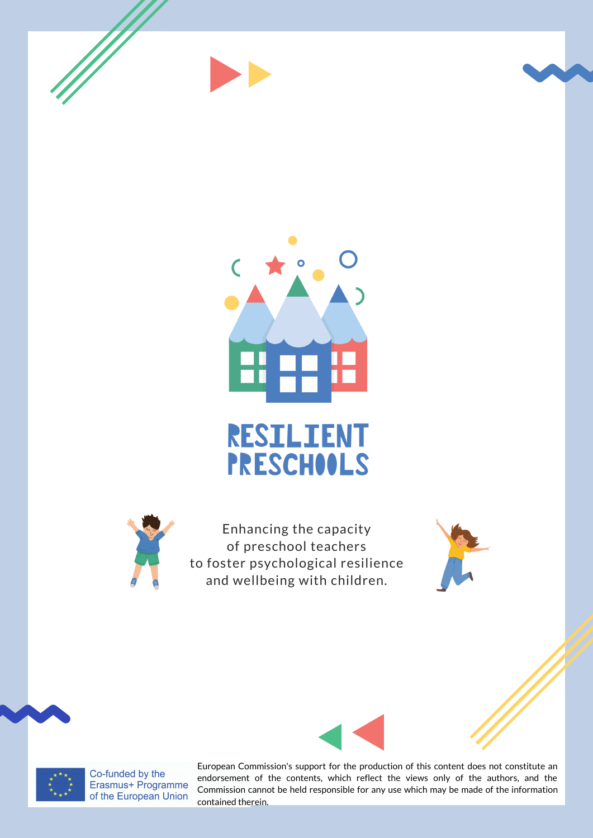







Enhancing the capacity of preschool teachers to foster psychological resilience and wellbeing with children.





Co-funded by the Erasmus+ Programme of the European Union

European Commission's support for the production of this content does not constitute an endorsement of the contents, which reflect the views only of the authors, and the Commission cannot be held responsible for any use which may be made of the information contained therein.